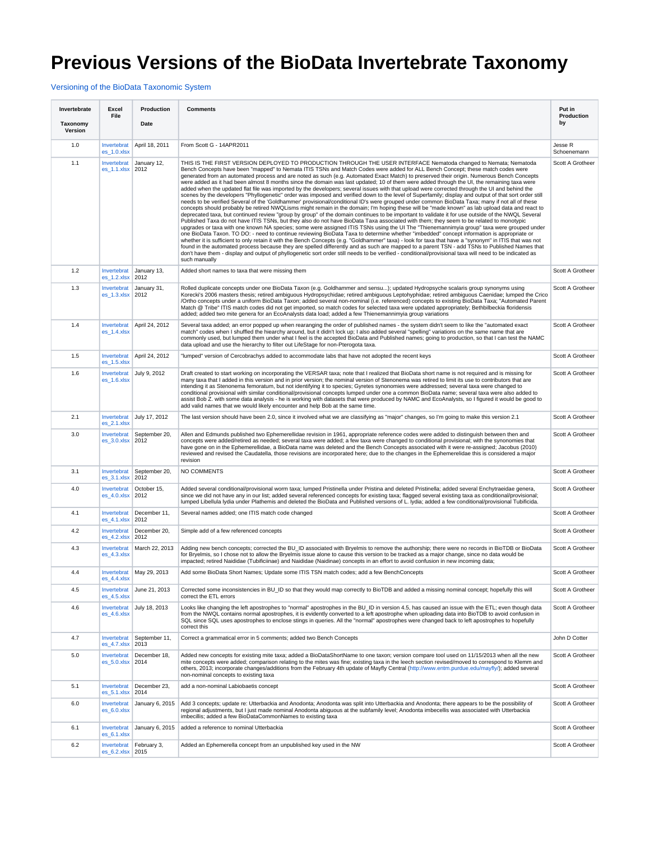## **Previous Versions of the BioData Invertebrate Taxonomy**

[Versioning of the BioData Taxonomic System](https://my.usgs.gov/confluence/display/biodata/Versioning+of+the+BioData+Taxonomic+System)

| Invertebrate        | Excel<br>File                   | Production                 | <b>Comments</b>                                                                                                                                                                                                                                                                                                                                                                                                                                                                                                                                                                                                                                                                                                                                                                                                                                                                                                                                                                                                                                                                                                                                                                                                                                                                                                                                                                                                                                                                                                                                                                                                                                                                                                                                                                                                                                                                                                                                                                                                                                                                                                                                                                                                                              | Put in<br>Production   |
|---------------------|---------------------------------|----------------------------|----------------------------------------------------------------------------------------------------------------------------------------------------------------------------------------------------------------------------------------------------------------------------------------------------------------------------------------------------------------------------------------------------------------------------------------------------------------------------------------------------------------------------------------------------------------------------------------------------------------------------------------------------------------------------------------------------------------------------------------------------------------------------------------------------------------------------------------------------------------------------------------------------------------------------------------------------------------------------------------------------------------------------------------------------------------------------------------------------------------------------------------------------------------------------------------------------------------------------------------------------------------------------------------------------------------------------------------------------------------------------------------------------------------------------------------------------------------------------------------------------------------------------------------------------------------------------------------------------------------------------------------------------------------------------------------------------------------------------------------------------------------------------------------------------------------------------------------------------------------------------------------------------------------------------------------------------------------------------------------------------------------------------------------------------------------------------------------------------------------------------------------------------------------------------------------------------------------------------------------------|------------------------|
| Taxonomy<br>Version |                                 | Date                       |                                                                                                                                                                                                                                                                                                                                                                                                                                                                                                                                                                                                                                                                                                                                                                                                                                                                                                                                                                                                                                                                                                                                                                                                                                                                                                                                                                                                                                                                                                                                                                                                                                                                                                                                                                                                                                                                                                                                                                                                                                                                                                                                                                                                                                              | by                     |
| 1.0                 | Invertebrat<br>es_1.0.xlsx      | April 18, 2011             | From Scott G - 14APR2011                                                                                                                                                                                                                                                                                                                                                                                                                                                                                                                                                                                                                                                                                                                                                                                                                                                                                                                                                                                                                                                                                                                                                                                                                                                                                                                                                                                                                                                                                                                                                                                                                                                                                                                                                                                                                                                                                                                                                                                                                                                                                                                                                                                                                     | Jesse R<br>Schoenemann |
| 1.1                 | Invertebrat<br>$es_1.1.x$ lsx   | January 12,<br>2012        | THIS IS THE FIRST VERSION DEPLOYED TO PRODUCTION THROUGH THE USER INTERFACE Nematoda changed to Nemata; Nematoda<br>Bench Concepts have been "mapped" to Nemata ITIS TSNs and Match Codes were added for ALL Bench Concept; these match codes were<br>generated from an automated process and are noted as such (e.g. Automated Exact Match) to preserved their origin. Numerous Bench Concepts<br>were added as it had been almost 8 months since the domain was last updated; 10 of them were added through the UI, the remaining taxa were<br>added when the updated flat file was imported by the developers; several issues with that upload were corrected through the UI and behind the<br>scenes by the developers "Phyllogenetic" order was imposed and verified down to the level of Superfamily; display and output of that sort order still<br>needs to be verified Several of the 'Goldhammer' provisional/conditional ID's were grouped under common BioData Taxa; many if not all of these<br>concepts should probably be retired NWQLisms might remain in the domain; I'm hoping these will be "made known" as lab upload data and react to<br>deprecated taxa, but continued review "group by group" of the domain continues to be important to validate it for use outside of the NWQL Several<br>Published Taxa do not have ITIS TSNs, but they also do not have BioData Taxa associated with them; they seem to be related to monotypic<br>upgrades or taxa with one known NA species; some were assigned ITIS TSNs using the UI The "Thienemannimyia group" taxa were grouped under<br>one BioData Taxon. TO DO: - need to continue reviewing BioData Taxa to determine whether "imbedded" concept information is appropriate or<br>whether it is sufficient to only retain it with the Bench Concepts (e.g. "Goldhammer" taxa) - look for taxa that have a "synonym" in ITIS that was not<br>found in the automated process because they are spelled differently and as such are mapped to a parent TSN - add TSNs to Published Names that<br>don't have them - display and output of phyllogenetic sort order still needs to be verified - conditional/provisional taxa will need to be indicated as<br>such manually | Scott A Grotheer       |
| 1.2                 | Invertebrat<br>$es_1.2.x$ sx    | January 13,<br>2012        | Added short names to taxa that were missing them                                                                                                                                                                                                                                                                                                                                                                                                                                                                                                                                                                                                                                                                                                                                                                                                                                                                                                                                                                                                                                                                                                                                                                                                                                                                                                                                                                                                                                                                                                                                                                                                                                                                                                                                                                                                                                                                                                                                                                                                                                                                                                                                                                                             | Scott A Grotheer       |
| 1.3                 | Invertebrat<br>$es_1.3.x$ lsx   | January 31,<br>2012        | Rolled duplicate concepts under one BioData Taxon (e.g. Goldhammer and sensu); updated Hydropsyche scalaris group synonyms using<br>Korecki's 2006 masters thesis; retired ambiguous Hydropsychidae; retired ambiguous Leptohyphidae; retired ambiguous Caenidae; lumped the Crico<br>/Ortho concepts under a uniform BioData Taxon; added several non-nominal (i.e. referenced) concepts to existing BioData Taxa; "Automated Parent<br>Match @ Tribe" ITIS match codes did not get imported, so match codes for selected taxa were updated appropriately; Bethbilbeckia floridensis<br>added; added two mite genera for an EcoAnalysts data load; added a few Thienemannimyia group variations                                                                                                                                                                                                                                                                                                                                                                                                                                                                                                                                                                                                                                                                                                                                                                                                                                                                                                                                                                                                                                                                                                                                                                                                                                                                                                                                                                                                                                                                                                                                             | Scott A Grotheer       |
| 1.4                 | Invertebrat<br>es_1.4.xlsx      | April 24, 2012             | Several taxa added; an error popped up when rearanging the order of published names - the system didn't seem to like the "automated exact<br>match" codes when I shuffled the hiearchy around, but it didn't lock up: I also added several "spelling" variations on the same name that are<br>commonly used, but lumped them under what I feel is the accepted BioData and Published names; going to production, so that I can test the NAMC<br>data upload and use the hierarchy to filter out LifeStage for non-Pterogota taxa.                                                                                                                                                                                                                                                                                                                                                                                                                                                                                                                                                                                                                                                                                                                                                                                                                                                                                                                                                                                                                                                                                                                                                                                                                                                                                                                                                                                                                                                                                                                                                                                                                                                                                                            | Scott A Grotheer       |
| 1.5                 | Invertebrat<br>$es_1.5.x$ lsx   | April 24, 2012             | "lumped" version of Cercobrachys added to accommodate labs that have not adopted the recent keys                                                                                                                                                                                                                                                                                                                                                                                                                                                                                                                                                                                                                                                                                                                                                                                                                                                                                                                                                                                                                                                                                                                                                                                                                                                                                                                                                                                                                                                                                                                                                                                                                                                                                                                                                                                                                                                                                                                                                                                                                                                                                                                                             | Scott A Grotheer       |
| 1.6                 | Invertebrat<br>es_1.6.xlsx      | July 9, 2012               | Draft created to start working on incorporating the VERSAR taxa; note that I realized that BioData short name is not required and is missing for<br>many taxa that I added in this version and in prior version; the nominal version of Stenonema was retired to limit its use to contributors that are<br>intending it as Stenonema femoratum, but not identifying it to species; Gyretes synonomies were addressed; several taxa were changed to<br>conditional provisional with similar conditional/provisional concepts lumped under one a common BioData name; several taxa were also added to<br>assist Bob Z. with some data analysis - he is working with datasets that were produced by NAMC and EcoAnalysts, so I figured it would be good to<br>add valid names that we would likely encounter and help Bob at the same time.                                                                                                                                                                                                                                                                                                                                                                                                                                                                                                                                                                                                                                                                                                                                                                                                                                                                                                                                                                                                                                                                                                                                                                                                                                                                                                                                                                                                     | Scott A Grotheer       |
| 2.1                 | Invertebrat<br>$es_2.1.x$ sx    | July 17, 2012              | The last version should have been 2.0, since it involved what we are classifying as "major" changes, so I'm going to make this version 2.1                                                                                                                                                                                                                                                                                                                                                                                                                                                                                                                                                                                                                                                                                                                                                                                                                                                                                                                                                                                                                                                                                                                                                                                                                                                                                                                                                                                                                                                                                                                                                                                                                                                                                                                                                                                                                                                                                                                                                                                                                                                                                                   | Scott A Grotheer       |
| 3.0                 | Invertebrat<br>es_3.0.xlsx 2012 | September 20,              | Allen and Edmunds published two Ephemerellidae revision in 1961, appropriate reference codes were added to distinguish between then and<br>concepts were added/retired as needed; several taxa were added; a few taxa were changed to conditional provisional; with the synonomies that<br>have gone on in the Ephemerellidae, a BioData name was deleted and the Bench Concepts associated with it were re-assigned; Jacobus (2010)<br>reviewed and revised the Caudatella, those revisions are incorporated here; due to the changes in the Ephemerelidae this is considered a major<br>revision                                                                                                                                                                                                                                                                                                                                                                                                                                                                                                                                                                                                                                                                                                                                                                                                                                                                                                                                                                                                                                                                                                                                                                                                                                                                                                                                                                                                                                                                                                                                                                                                                                           | Scott A Grotheer       |
| 3.1                 | Invertebrat<br>$es_3.1.x$ lsx   | September 20,<br>2012      | NO COMMENTS                                                                                                                                                                                                                                                                                                                                                                                                                                                                                                                                                                                                                                                                                                                                                                                                                                                                                                                                                                                                                                                                                                                                                                                                                                                                                                                                                                                                                                                                                                                                                                                                                                                                                                                                                                                                                                                                                                                                                                                                                                                                                                                                                                                                                                  | Scott A Grotheer       |
| 4.0                 | Invertebrat<br>$es_4.0.x$ lsx   | October 15,<br>2012        | Added several conditional/provisional worm taxa; lumped Pristinella under Pristina and deleted Pristinella; added several Enchytraeidae genera,<br>since we did not have any in our list; added several referenced concepts for existing taxa; flagged several existing taxa as conditional/provisional;<br>lumped Libellula lydia under Plathemis and deleted the BioData and Published versions of L. Iydia; added a few conditional/provisional Tubificida.                                                                                                                                                                                                                                                                                                                                                                                                                                                                                                                                                                                                                                                                                                                                                                                                                                                                                                                                                                                                                                                                                                                                                                                                                                                                                                                                                                                                                                                                                                                                                                                                                                                                                                                                                                               | Scott A Grotheer       |
| 4.1                 | Invertebrat<br>$es_4.1.x$ sx    | December 11,<br>2012       | Several names added; one ITIS match code changed                                                                                                                                                                                                                                                                                                                                                                                                                                                                                                                                                                                                                                                                                                                                                                                                                                                                                                                                                                                                                                                                                                                                                                                                                                                                                                                                                                                                                                                                                                                                                                                                                                                                                                                                                                                                                                                                                                                                                                                                                                                                                                                                                                                             | Scott A Grotheer       |
| 4.2                 | Invertebrat<br>es_4.2.xlsx      | December 20,<br>2012       | Simple add of a few referenced concepts                                                                                                                                                                                                                                                                                                                                                                                                                                                                                                                                                                                                                                                                                                                                                                                                                                                                                                                                                                                                                                                                                                                                                                                                                                                                                                                                                                                                                                                                                                                                                                                                                                                                                                                                                                                                                                                                                                                                                                                                                                                                                                                                                                                                      | Scott A Grotheer       |
| 4.3                 | Invertebrat<br>es_4.3.xlsx      | March 22, 2013             | Adding new bench concepts; corrected the BU_ID associated with Bryelmis to remove the authorship; there were no records in BioTDB or BioData<br>for Bryelmis, so I chose not to allow the Bryelmis issue alone to cause this version to be tracked as a major change, since no data would be<br>impacted; retired Naididae (Tubificiinae) and Naididae (Naidinae) concepts in an effort to avoid confusion in new incoming data;                                                                                                                                                                                                                                                                                                                                                                                                                                                                                                                                                                                                                                                                                                                                                                                                                                                                                                                                                                                                                                                                                                                                                                                                                                                                                                                                                                                                                                                                                                                                                                                                                                                                                                                                                                                                             | Scott A Grotheer       |
| 4.4                 | es_4.4.xlsx                     | Invertebrat   May 29, 2013 | Add some BioData Short Names; Update some ITIS TSN match codes; add a few BenchConcepts                                                                                                                                                                                                                                                                                                                                                                                                                                                                                                                                                                                                                                                                                                                                                                                                                                                                                                                                                                                                                                                                                                                                                                                                                                                                                                                                                                                                                                                                                                                                                                                                                                                                                                                                                                                                                                                                                                                                                                                                                                                                                                                                                      | Scott A Grotheer       |
| 4.5                 | Invertebrat<br>es_4.5.xlsx      | June 21, 2013              | Corrected some inconsistencies in BU_ID so that they would map correctly to BioTDB and added a missing nominal concept; hopefully this will<br>correct the ETL errors                                                                                                                                                                                                                                                                                                                                                                                                                                                                                                                                                                                                                                                                                                                                                                                                                                                                                                                                                                                                                                                                                                                                                                                                                                                                                                                                                                                                                                                                                                                                                                                                                                                                                                                                                                                                                                                                                                                                                                                                                                                                        | Scott A Grotheer       |
| 4.6                 | Invertebrat<br>es_4.6.xlsx      | July 18, 2013              | Looks like changing the left apostrophes to "normal" apostrophes in the BU_ID in version 4.5, has caused an issue with the ETL; even though data<br>from the NWQL contains normal apostrophes, it is evidently converted to a left apostrophe when uploading data into BioTDB to avoid confusion in<br>SQL since SQL uses apostrophes to enclose stings in queries. All the "normal" apostrophes were changed back to left apostrophes to hopefully<br>correct this                                                                                                                                                                                                                                                                                                                                                                                                                                                                                                                                                                                                                                                                                                                                                                                                                                                                                                                                                                                                                                                                                                                                                                                                                                                                                                                                                                                                                                                                                                                                                                                                                                                                                                                                                                          | Scott A Grotheer       |
| 4.7                 | Invertebrat<br>es_4.7.xlsx      | September 11,<br>2013      | Correct a grammatical error in 5 comments; added two Bench Concepts                                                                                                                                                                                                                                                                                                                                                                                                                                                                                                                                                                                                                                                                                                                                                                                                                                                                                                                                                                                                                                                                                                                                                                                                                                                                                                                                                                                                                                                                                                                                                                                                                                                                                                                                                                                                                                                                                                                                                                                                                                                                                                                                                                          | John D Cotter          |
| 5.0                 | Invertebrat<br>es_5.0.xlsx      | December 18.<br>2014       | Added new concepts for existing mite taxa; added a BioDataShortName to one taxon; version compare tool used on 11/15/2013 when all the new<br>mite concepts were added; comparison relating to the mites was fine; existing taxa in the leech section revised/moved to correspond to Klemm and<br>others, 2013; incorporate changes/additions from the February 4th update of Mayfly Central (http://www.entm.purdue.edu/mayfly/); added several<br>non-nominal concepts to existing taxa                                                                                                                                                                                                                                                                                                                                                                                                                                                                                                                                                                                                                                                                                                                                                                                                                                                                                                                                                                                                                                                                                                                                                                                                                                                                                                                                                                                                                                                                                                                                                                                                                                                                                                                                                    | Scott A Grotheer       |
| 5.1                 | Invertebrat<br>es 5.1.xlsx      | December 23,<br>2014       | add a non-nominal Labiobaetis concept                                                                                                                                                                                                                                                                                                                                                                                                                                                                                                                                                                                                                                                                                                                                                                                                                                                                                                                                                                                                                                                                                                                                                                                                                                                                                                                                                                                                                                                                                                                                                                                                                                                                                                                                                                                                                                                                                                                                                                                                                                                                                                                                                                                                        | Scott A Grotheer       |
| 6.0                 | Invertebrat<br>es_6.0.xlsx      | January 6, 2015            | Add 3 concepts; update re: Utterbackia and Anodonta; Anodonta was split into Utterbackia and Anodonta; there appears to be the possibility of<br>regional adjustments, but I just made nominal Anodonta abiguous at the subfamily level; Anodonta imbecellis was associated with Utterbackia<br>imbecillis; added a few BioDataCommonNames to existing taxa                                                                                                                                                                                                                                                                                                                                                                                                                                                                                                                                                                                                                                                                                                                                                                                                                                                                                                                                                                                                                                                                                                                                                                                                                                                                                                                                                                                                                                                                                                                                                                                                                                                                                                                                                                                                                                                                                  | Scott A Grotheer       |
| 6.1                 | Invertebrat<br>$es_6.1.x$ sx    | January 6, 2015            | added a reference to nominal Utterbackia                                                                                                                                                                                                                                                                                                                                                                                                                                                                                                                                                                                                                                                                                                                                                                                                                                                                                                                                                                                                                                                                                                                                                                                                                                                                                                                                                                                                                                                                                                                                                                                                                                                                                                                                                                                                                                                                                                                                                                                                                                                                                                                                                                                                     | Scott A Grotheer       |
| 6.2                 | Invertebrat<br>$es_6.2.x$ lsx   | February 3,<br>2015        | Added an Ephemerella concept from an unpublished key used in the NW                                                                                                                                                                                                                                                                                                                                                                                                                                                                                                                                                                                                                                                                                                                                                                                                                                                                                                                                                                                                                                                                                                                                                                                                                                                                                                                                                                                                                                                                                                                                                                                                                                                                                                                                                                                                                                                                                                                                                                                                                                                                                                                                                                          | Scott A Grotheer       |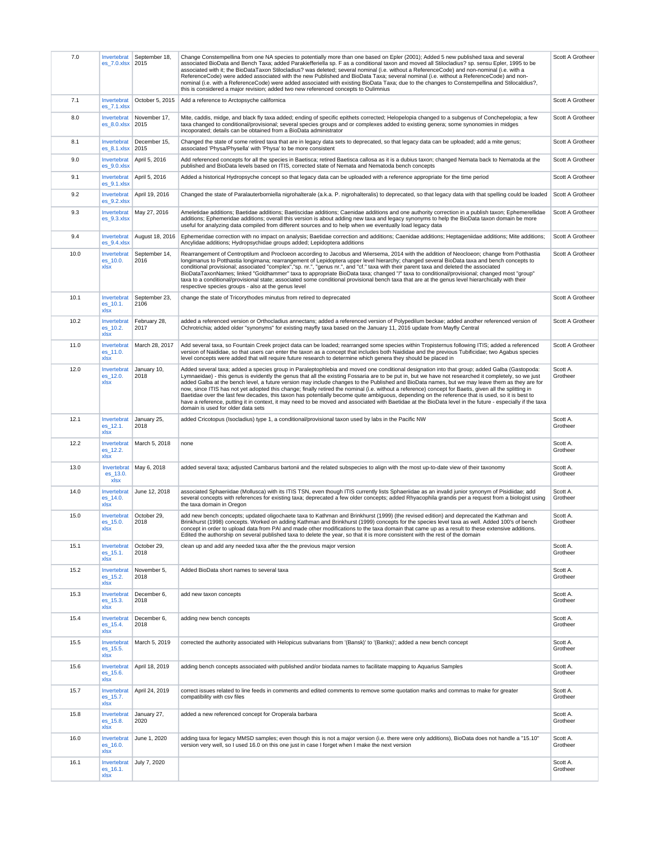| 7.0  | Invertebrat<br>es_7.0.xlsx 2015 | September 18,         | Change Constempellina from one NA species to potentially more than one based on Epler (2001); Added 5 new published taxa and several<br>associated BioData and Bench Taxa; added Parakiefferiella sp. F as a conditional taxon and moved all Stilocladius? sp. sensu Epler, 1995 to be<br>associated with it; the BioDataTaxon Stilocladius? was deleted; several nominal (i.e. without a ReferenceCode) and non-nominal (i.e. with a<br>ReferenceCode) were added associated with the new Published and BioData Taxa; several nominal (i.e. without a ReferenceCode) and non-<br>nominal (i.e. with a ReferenceCode) were added associated with existing BioData Taxa; due to the changes to Constempellina and Stilocaldius?,<br>this is considered a major revision; added two new referenced concepts to Oulimnius                                                                                                                                                   | Scott A Grotheer     |
|------|---------------------------------|-----------------------|--------------------------------------------------------------------------------------------------------------------------------------------------------------------------------------------------------------------------------------------------------------------------------------------------------------------------------------------------------------------------------------------------------------------------------------------------------------------------------------------------------------------------------------------------------------------------------------------------------------------------------------------------------------------------------------------------------------------------------------------------------------------------------------------------------------------------------------------------------------------------------------------------------------------------------------------------------------------------|----------------------|
| 7.1  | Invertebrat<br>es_7.1.xlsx      | October 5, 2015       | Add a reference to Arctopsyche californica                                                                                                                                                                                                                                                                                                                                                                                                                                                                                                                                                                                                                                                                                                                                                                                                                                                                                                                               | Scott A Grotheer     |
| 8.0  | Invertebrat<br>es_8.0.xlsx      | November 17,<br>2015  | Mite, caddis, midge, and black fly taxa added; ending of specific epithets corrected; Helopelopia changed to a subgenus of Conchepelopia; a few<br>taxa changed to conditional/provisional; several species groups and or complexes added to existing genera; some synonomies in midges<br>incoporated; details can be obtained from a BioData administrator                                                                                                                                                                                                                                                                                                                                                                                                                                                                                                                                                                                                             | Scott A Grotheer     |
| 8.1  | Invertebrat<br>$es_8.1.x$ sx    | December 15,<br>2015  | Changed the state of some retired taxa that are in legacy data sets to deprecated, so that legacy data can be uploaded; add a mite genus;<br>associated 'Physa/Physella' with 'Physa' to be more consistent                                                                                                                                                                                                                                                                                                                                                                                                                                                                                                                                                                                                                                                                                                                                                              | Scott A Grotheer     |
| 9.0  | Invertebrat<br>es_9.0.xlsx      | April 5, 2016         | Add referenced concepts for all the species in Baetisca; retired Baetisca callosa as it is a dubius taxon; changed Nemata back to Nematoda at the<br>published and BioData levels based on ITIS, corrected state of Nemata and Nematoda bench concepts                                                                                                                                                                                                                                                                                                                                                                                                                                                                                                                                                                                                                                                                                                                   | Scott A Grotheer     |
| 9.1  | Invertebrat<br>es_9.1.xlsx      | April 5, 2016         | Added a historical Hydropsyche concept so that legacy data can be uploaded with a reference appropriate for the time period                                                                                                                                                                                                                                                                                                                                                                                                                                                                                                                                                                                                                                                                                                                                                                                                                                              | Scott A Grotheer     |
| 9.2  | Invertebrat<br>es 9.2.xlsx      | April 19, 2016        | Changed the state of Paralauterborniella nigrohalterale (a.k.a. P. nigrohalteralis) to deprecated, so that legacy data with that spelling could be loaded                                                                                                                                                                                                                                                                                                                                                                                                                                                                                                                                                                                                                                                                                                                                                                                                                | Scott A Grotheer     |
| 9.3  | Invertebrat<br>es_9.3.xlsx      | May 27, 2016          | Ameletidae additions; Baetidae additions; Baetiscidae additions; Caenidae additions and one authority correction in a publish taxon; Ephemerellidae<br>additions; Ephemeridae additions; overall this version is about adding new taxa and legacy synonyms to help the BioData taxon domain be more<br>useful for analyzing data compiled from different sources and to help when we eventually load legacy data                                                                                                                                                                                                                                                                                                                                                                                                                                                                                                                                                         | Scott A Grotheer     |
| 9.4  | Invertebrat<br>es_9.4.xlsx      | August 18, 2016       | Ephemeridae correction with no impact on analysis; Baetidae correction and additions; Caenidae additions; Heptageniidae additions; Mite additions;<br>Ancylidae additions; Hydropsychidae groups added; Lepidoptera additions                                                                                                                                                                                                                                                                                                                                                                                                                                                                                                                                                                                                                                                                                                                                            | Scott A Grotheer     |
| 10.0 | Invertebrat<br>es 10.0.<br>xlsx | September 14,<br>2016 | Rearrangement of Centroptilum and Procloeon according to Jacobus and Wiersema, 2014 with the addition of Neocloeon; change from Potthastia<br>longimanus to Potthastia longimana; rearrangement of Lepidoptera upper level hierarchy; changed several BioData taxa and bench concepts to<br>conditional provisional; associated "complex", "sp. nr.", "genus nr.", and "cf." taxa with their parent taxa and deleted the associated<br>BioDataTaxonNames; linked "Goldhammer" taxa to appropriate BioData taxa; changed "/" taxa to conditional/provisional; changed most "group"<br>taxa to a conditional/provisional state; associated some conditional provisional bench taxa that are at the genus level hierarchically with their<br>respective species groups - also at the genus level                                                                                                                                                                            | Scott A Grotheer     |
| 10.1 | Invertebrat<br>es_10.1.<br>xlsx | September 23,<br>2106 | change the state of Tricorythodes minutus from retired to deprecated                                                                                                                                                                                                                                                                                                                                                                                                                                                                                                                                                                                                                                                                                                                                                                                                                                                                                                     | Scott A Grotheer     |
| 10.2 | Invertebrat<br>es_10.2.<br>xlsx | February 28,<br>2017  | added a referenced version or Orthocladius annectans; added a referenced version of Polypedilum beckae; added another referenced version of<br>Ochrotrichia; added older "synonyms" for existing mayfly taxa based on the January 11, 2016 update from Mayfly Central                                                                                                                                                                                                                                                                                                                                                                                                                                                                                                                                                                                                                                                                                                    | Scott A Grotheer     |
| 11.0 | Invertebrat<br>es_11.0.<br>xlsx | March 28, 2017        | Add several taxa, so Fountain Creek project data can be loaded; rearranged some species within Tropisternus following ITIS; added a referenced<br>version of Naididae, so that users can enter the taxon as a concept that includes both Naididae and the previous Tubificidae; two Agabus species<br>level concepts were added that will require future research to determine which genera they should be placed in                                                                                                                                                                                                                                                                                                                                                                                                                                                                                                                                                     | Scott A Grotheer     |
| 12.0 | Invertebrat<br>es_12.0.<br>xlsx | January 10,<br>2018   | Added several taxa; added a species group in Paraleptophlebia and moved one conditional designation into that group; added Galba (Gastopoda:<br>Lymnaeidae) - this genus is evidently the genus that all the existing Fossaria are to be put in, but we have not researched it completely, so we just<br>added Galba at the bench level, a future version may include changes to the Published and BioData names, but we may leave them as they are for<br>now, since ITIS has not yet adopted this change; finally retired the nominal (i.e. without a reference) concept for Baetis, given all the splitting in<br>Baetidae over the last few decades, this taxon has potentially become quite ambiguous, depending on the reference that is used, so it is best to<br>have a reference, putting it in context, it may need to be moved and associated with Baetidae at the BioData level in the future - especially if the taxa<br>domain is used for older data sets | Scott A.<br>Grotheer |
| 12.1 | Invertebrat<br>es_12.1.<br>xlsx | January 25,<br>2018   | added Cricotopus (Isocladius) type 1, a conditional/provisional taxon used by labs in the Pacific NW                                                                                                                                                                                                                                                                                                                                                                                                                                                                                                                                                                                                                                                                                                                                                                                                                                                                     | Scott A.<br>Grotheer |
| 12.2 | Invertebrat<br>es_12.2.<br>xlsx | March 5, 2018         | none                                                                                                                                                                                                                                                                                                                                                                                                                                                                                                                                                                                                                                                                                                                                                                                                                                                                                                                                                                     | Scott A.<br>Grotheer |
| 13.0 | Invertebrat<br>es_13.0.<br>xlsx | May 6, 2018           | added several taxa; adjusted Cambarus bartonii and the related subspecies to align with the most up-to-date view of their taxonomy                                                                                                                                                                                                                                                                                                                                                                                                                                                                                                                                                                                                                                                                                                                                                                                                                                       | Scott A.<br>Grotheer |
| 14.0 | Invertebrat<br>es_14.0.<br>xlsx | June 12, 2018         | associated Sphaeriidae (Mollusca) with its ITIS TSN, even though ITIS currently lists Sphaeriidae as an invalid junior synonym of Pisidiidae; add<br>several concepts with references for existing taxa; deprecated a few older concepts; added Rhyacophila grandis per a request from a biologist using<br>the taxa domain in Oregon                                                                                                                                                                                                                                                                                                                                                                                                                                                                                                                                                                                                                                    | Scott A.<br>Grotheer |
| 15.0 | Invertebrat<br>es 15.0.<br>xlsx | October 29,<br>2018   | add new bench concepts; updated oligochaete taxa to Kathman and Brinkhurst (1999) (the revised edition) and deprecated the Kathman and<br>Brinkhurst (1998) concepts. Worked on adding Kathman and Brinkhurst (1999) concepts for the species level taxa as well. Added 100's of bench<br>concept in order to upload data from PAI and made other modifications to the taxa domain that came up as a result to these extensive additions.<br>Edited the authorship on several published taxa to delete the year, so that it is more consistent with the rest of the domain                                                                                                                                                                                                                                                                                                                                                                                               | Scott A.<br>Grotheer |
| 15.1 | Invertebrat<br>es_15.1.<br>xlsx | October 29,<br>2018   | clean up and add any needed taxa after the the previous major version                                                                                                                                                                                                                                                                                                                                                                                                                                                                                                                                                                                                                                                                                                                                                                                                                                                                                                    | Scott A.<br>Grotheer |
| 15.2 | Invertebrat<br>es_15.2.<br>xlsx | November 5,<br>2018   | Added BioData short names to several taxa                                                                                                                                                                                                                                                                                                                                                                                                                                                                                                                                                                                                                                                                                                                                                                                                                                                                                                                                | Scott A.<br>Grotheer |
| 15.3 | Invertebrat<br>es_15.3.<br>xlsx | December 6,<br>2018   | add new taxon concepts                                                                                                                                                                                                                                                                                                                                                                                                                                                                                                                                                                                                                                                                                                                                                                                                                                                                                                                                                   | Scott A.<br>Grotheer |
| 15.4 | Invertebrat<br>es_15.4.<br>xlsx | December 6,<br>2018   | adding new bench concepts                                                                                                                                                                                                                                                                                                                                                                                                                                                                                                                                                                                                                                                                                                                                                                                                                                                                                                                                                | Scott A.<br>Grotheer |
| 15.5 | Invertebrat<br>es_15.5.<br>xlsx | March 5, 2019         | corrected the authority associated with Helopicus subvarians from '(Bansk)' to '(Banks)'; added a new bench concept                                                                                                                                                                                                                                                                                                                                                                                                                                                                                                                                                                                                                                                                                                                                                                                                                                                      | Scott A.<br>Grotheer |
| 15.6 | Invertebrat<br>es_15.6.<br>xlsx | April 18, 2019        | adding bench concepts associated with published and/or biodata names to facilitate mapping to Aquarius Samples                                                                                                                                                                                                                                                                                                                                                                                                                                                                                                                                                                                                                                                                                                                                                                                                                                                           | Scott A.<br>Grotheer |
| 15.7 | Invertebrat<br>es_15.7.<br>xlsx | April 24, 2019        | correct issues related to line feeds in comments and edited comments to remove some quotation marks and commas to make for greater<br>compatibility with csv files                                                                                                                                                                                                                                                                                                                                                                                                                                                                                                                                                                                                                                                                                                                                                                                                       | Scott A.<br>Grotheer |
| 15.8 | Invertebrat<br>es_15.8.<br>xlsx | January 27,<br>2020   | added a new referenced concept for Oroperala barbara                                                                                                                                                                                                                                                                                                                                                                                                                                                                                                                                                                                                                                                                                                                                                                                                                                                                                                                     | Scott A.<br>Grotheer |
| 16.0 | Invertebrat<br>es_16.0.<br>xlsx | June 1, 2020          | adding taxa for legacy MMSD samples; even though this is not a major version (i.e. there were only additions), BioData does not handle a "15.10"<br>version very well, so I used 16.0 on this one just in case I forget when I make the next version                                                                                                                                                                                                                                                                                                                                                                                                                                                                                                                                                                                                                                                                                                                     | Scott A.<br>Grotheer |
| 16.1 | Invertebrat<br>es_16.1.<br>xlsx | July 7, 2020          |                                                                                                                                                                                                                                                                                                                                                                                                                                                                                                                                                                                                                                                                                                                                                                                                                                                                                                                                                                          | Scott A.<br>Grotheer |